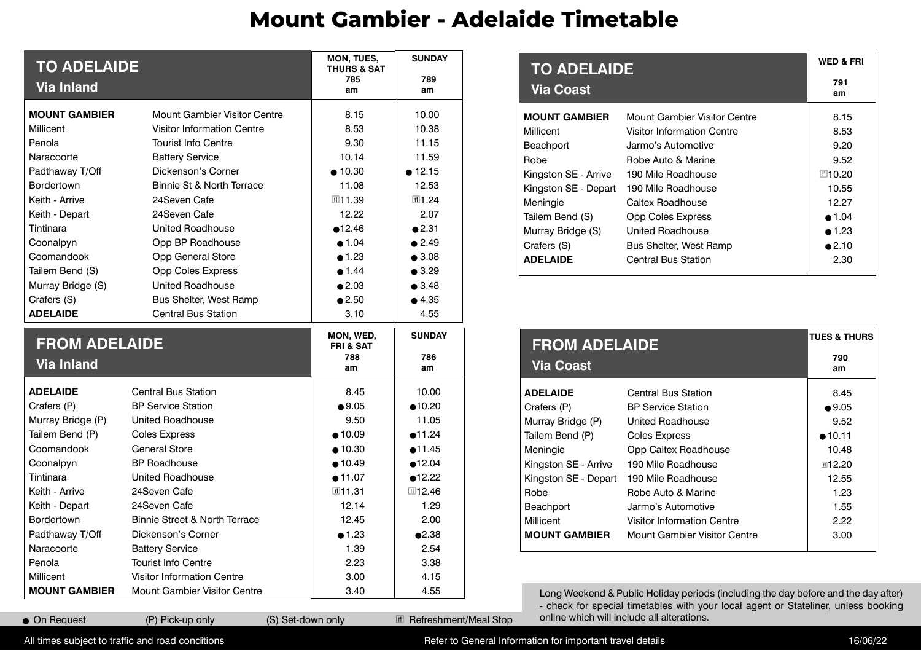# **Mount Gambier - Adelaide Timetable**

| <b>TO ADELAIDE</b><br><b>Via Inland</b> |                                          | MON, TUES,<br><b>THURS &amp; SAT</b><br>785<br>am | <b>SUNDAY</b><br>789<br>am |
|-----------------------------------------|------------------------------------------|---------------------------------------------------|----------------------------|
| <b>MOUNT GAMBIER</b>                    | <b>Mount Gambier Visitor Centre</b>      | 8.15                                              | 10.00                      |
| <b>Millicent</b>                        | <b>Visitor Information Centre</b>        | 8.53                                              | 10.38                      |
| Penola                                  | <b>Tourist Info Centre</b>               | 9.30                                              | 11.15                      |
| Naracoorte                              | <b>Battery Service</b>                   | 10.14                                             | 11.59                      |
| Padthaway T/Off                         | Dickenson's Corner                       | • 10.30                                           | • 12.15                    |
| Bordertown                              | Binnie St & North Terrace                | 11.08                                             | 12.53                      |
| Keith - Arrive                          | 24 Seven Cafe                            | Ⅲ11.39                                            | 団1.24                      |
| Keith - Depart                          | 24Seven Cafe                             | 12.22                                             | 2.07                       |
| Tintinara                               | <b>United Roadhouse</b>                  | •12.46                                            | •2.31                      |
| Coonalpyn                               | Opp BP Roadhouse                         | • 1.04                                            | $\bullet$ 2.49             |
| Coomandook                              | Opp General Store                        | •1.23                                             | $\bullet$ 3.08             |
| Tailem Bend (S)                         | Opp Coles Express                        | •1.44                                             | $\bullet$ 3.29             |
| Murray Bridge (S)                       | <b>United Roadhouse</b>                  | $\bullet$ 2.03                                    | • 3.48                     |
| Crafers (S)                             | Bus Shelter, West Ramp                   | $\bullet$ 2.50                                    | •4.35                      |
| <b>ADELAIDE</b>                         | <b>Central Bus Station</b>               | 3.10                                              | 4.55                       |
| <b>FROM ADELAIDE</b>                    |                                          |                                                   |                            |
|                                         |                                          | MON, WED,                                         | <b>SUNDAY</b>              |
| <b>Via Inland</b>                       |                                          | <b>FRI &amp; SAT</b><br>788<br>am                 | 786<br>am                  |
| <b>ADELAIDE</b>                         | <b>Central Bus Station</b>               | 8.45                                              | 10.00                      |
| Crafers (P)                             | <b>BP Service Station</b>                | •9.05                                             | •10.20                     |
| Murray Bridge (P)                       | <b>United Roadhouse</b>                  | 9.50                                              | 11.05                      |
| Tailem Bend (P)                         | <b>Coles Express</b>                     | •10.09                                            | •11.24                     |
| Coomandook                              | <b>General Store</b>                     | •10.30                                            | •11.45                     |
| Coonalpyn                               | <b>BP Roadhouse</b>                      | •10.49                                            | •12.04                     |
| Tintinara                               | <b>United Roadhouse</b>                  | •11.07                                            | •12.22                     |
| Keith - Arrive                          | 24 Seven Cafe                            | Ⅲ11.31                                            | Ⅲ12.46                     |
| Keith - Depart                          | 24Seven Cafe                             | 12.14                                             | 1.29                       |
| <b>Bordertown</b>                       | <b>Binnie Street &amp; North Terrace</b> | 12.45                                             | 2.00                       |
| Padthaway T/Off                         | Dickenson's Corner                       | •1.23                                             | •2.38                      |
| Naracoorte                              | <b>Battery Service</b>                   | 1.39                                              | 2.54                       |
| Penola                                  | <b>Tourist Info Centre</b>               | 2.23                                              | 3.38                       |
| <b>Millicent</b>                        | Visitor Information Centre               | 3.00                                              | 4.15                       |

● On Request (P) Pick-up only (S) Set-down only II Refreshment/Meal Stop

| <b>TO ADELAIDE</b>   | <b>WED &amp; FRI</b>          |           |
|----------------------|-------------------------------|-----------|
| <b>Via Coast</b>     |                               | 791<br>am |
| <b>MOUNT GAMBIER</b> | Mount Gambier Visitor Centre  | 8.15      |
| Millicent            | Visitor Information Centre    | 8.53      |
| Beachport            | Jarmo's Automotive            | 9.20      |
| Robe                 | Robe Auto & Marine            | 9.52      |
| Kingston SE - Arrive | 190 Mile Roadhouse            | Ⅲ10.20    |
| Kingston SE - Depart | 190 Mile Roadhouse            | 10.55     |
| Meningie             | Caltex Roadhouse              | 12.27     |
| Tailem Bend (S)      | Opp Coles Express             | •1.04     |
| Murray Bridge (S)    | United Roadhouse              | •1.23     |
| Crafers (S)          | <b>Bus Shelter, West Ramp</b> | •2.10     |
| <b>ADELAIDE</b>      | Central Bus Station           | 2.30      |
|                      |                               |           |

| <b>FROM ADELAIDE</b><br><b>Via Coast</b> | <b>TUES &amp; THURS</b><br>790<br>am |                 |
|------------------------------------------|--------------------------------------|-----------------|
| <b>ADELAIDE</b>                          | <b>Central Bus Station</b>           | 8.45            |
| Crafers (P)                              | <b>BP Service Station</b>            | •9.05           |
| Murray Bridge (P)                        | United Roadhouse                     | 9.52            |
| Tailem Bend (P)                          | <b>Coles Express</b>                 | •10.11          |
| Meningie                                 | Opp Caltex Roadhouse                 | 10.48           |
| Kingston SE - Arrive                     | 190 Mile Roadhouse                   | $\text{m}12.20$ |
| Kingston SE - Depart                     | 190 Mile Roadhouse                   | 12.55           |
| Robe                                     | Robe Auto & Marine                   | 1.23            |
| Beachport                                | Jarmo's Automotive                   | 1.55            |
| <b>Millicent</b>                         | Visitor Information Centre           | 2.22            |
| <b>MOUNT GAMBIER</b>                     | Mount Gambier Visitor Centre         | 3.00            |
|                                          |                                      |                 |

Long Weekend & Public Holiday periods (including the day before and the day after) - check for special timetables with your local agent or Stateliner, unless booking online which will include all alterations.

All times subject to traffic and road conditions and the state of the Refer to General Information for important travel details and road conditions and the 16/06/22